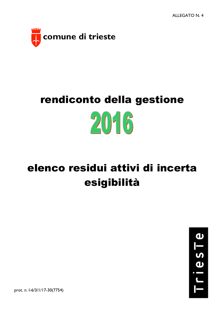

## rendiconto della gestione  $20 - 6$

## elenco residui attivi di incerta esigibilità



prot. n. I-6/3/1/17-30(7754)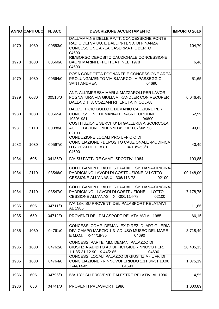|      | <b>ANNO CAPITOLO</b> | N. ACC. | <b>DESCRIZIONE ACCERTAMENTO</b>                                                                                                            | <b>IMPORTO 2016</b> |
|------|----------------------|---------|--------------------------------------------------------------------------------------------------------------------------------------------|---------------------|
| 1970 | 1030                 | 00553/0 | DALL'AMM.NE DELLE PP.TT. CONCESSIONE PONTE<br>RADIO DEI VV.UU. E DALL'IN-TEND. DI FINANZA<br>CONCESSIONE AREA CASERMA FILIBERTO<br>04690   | 104,70              |
| 1978 | 1030                 | 00560/0 | RIMBORSO DEPOSITO CAUZIONALE CONCESSIONE<br><b>BAGNI MARINI EFFETTUATI NEL 1978</b><br>04690                                               | 6,46                |
| 1979 | 1030                 | 00564/0 | POSA CONDOTTA FOGNANTE E CONCESSIONE AREA<br>PROLUNGAMENTO VIA S.MARCO A PASSEGGIO<br>SANT'ANDREA<br>04690                                 | 51,65               |
| 1979 | 6080                 | 00510/0 | ANT. ALL'IMPRESA MARI & MAZZAROLI PER LAVORI<br>FOGNATURA VIA GIULIA V. KANDLER CON RECUPER<br>DALLA DITTA COZZANI RITENUTA IN COLPA       | 6.046,48            |
| 1980 | 1030                 | 00565/0 | DALL'UFFICIO BOLLO E DEMANIO CAUZIONE PER<br>CONCESSIONE DEMANIALE BAGNI TOPOLINI<br>1980/1981<br>04690                                    | 52,99               |
| 1981 | 2110                 | 00088/0 | COSTITUZIONE SERVITU' DI GALLERIA A SCORCOLA<br>ACCETTAZIONE INDENNITA' XII 1007/945 58<br>02100                                           | 99,03               |
| 1982 | 1030                 | 00597/0 | CONDUZIONE LOCALI PRO UFFICIO DI<br>CONCILIAZIONE - DEPOSITO CAUZIONALE -MODIFICA<br>D.G. 3029 DD 11.8.81<br>IX-18/5-58/81<br>04690        | 40,49               |
| 1984 | 605                  | 04136/0 | <b>IVA SU FATTURE CAMPI SPORTIVI 1984</b>                                                                                                  | 193,85              |
| 1984 | 2110                 | 03546/0 | COLLEGAMENTO AUTOSTRADALE SISTIANA-OPICINA-<br>PADRICIANO-LAVORI DI COSTRUZIONE IV LOTTO -<br>CESSIONE ALL'ANAS XII-306/113-78<br>02100    | 109.148,00          |
| 1984 | 2110                 | 03547/0 | COLLEGAMENTO AUTOSTRADALE SISTIANA-OPICINA-<br>PADRICIANO - LAVORI DI COSTRUZIONE III LOTTO -<br>CESSIONE ALL'ANAS XII-306/114-78<br>02100 | 7.178,75            |
| 1985 | 605                  | 04711/0 | IVA 18% SU PROVENTI DEL PALASPORT RELATAIVI<br>AL 1985                                                                                     | 11,66               |
| 1985 | 650                  | 04712/0 | PROVENTI DEL PALASPORT RELATAIAVI AL 1985                                                                                                  | 66,15               |
| 1985 | 1030                 | 04761/0 | CONCESS, COMP. DEMAN, EX DIREZ, DI ARTIGLIERIA<br>DIV. CAMPO MARZIO 1-3 AD USO MUSEO DEL MARE<br>E M.O.I. X-44/18-85<br>04690              | 3.718,49            |
| 1985 | 1030                 | 04762/0 | CONCESS. PARTE IMM. DEMAN. PALAZZO DI<br>GIUSTIZIA ADIBITO AD UFFICI GIUDRINNOVO PER.<br>1.1.85-31.12.90 X-44/2-85<br>04690                | 28.405,13           |
| 1985 | 1030                 | 04764/0 | CONCESS. LOCALI PALAZZO DI GIUSTIZIA - UFF. DI<br>CONCILIAZIONE - RINNOVOPERIODO 1.11.84-31.10.90<br>X-44/14-85<br>04690                   | 1.075,19            |
| 1986 | 605                  | 04796/0 | IVA 18% SU PROVENTI PALESTRE RELATIVI AL 1986                                                                                              | 4,55                |
| 1986 | 650                  | 04741/0 | PROVENTI PALASPORT 1986                                                                                                                    | 1.000,89            |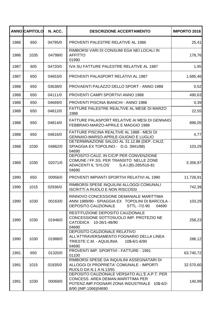|      | <b>ANNO CAPITOLO</b> | N. ACC. | <b>DESCRIZIONE ACCERTAMENTO</b>                                                                                                                                | <b>IMPORTO 2016</b> |
|------|----------------------|---------|----------------------------------------------------------------------------------------------------------------------------------------------------------------|---------------------|
| 1986 | 650                  | 04795/0 | PROVENTI PALESTRE RELATIVE AL 1986                                                                                                                             | 25,41               |
| 1986 | 1035                 | 04799/0 | RIMBORSI VARI DI CONSUMI EGA NEI LOCALI IN<br><b>AFFITTO</b><br>01990                                                                                          | 178,76              |
| 1987 | 605                  | 04720/0 | IVA SU FATTURE PALESTRE RELATIVE AL 1987                                                                                                                       | 1,95                |
| 1987 | 650                  | 04653/0 | PROVENTI PALASPORT RELATIVI AL 1987                                                                                                                            | 1.685,46            |
| 1988 | 650                  | 03638/0 | PROVAENTI PALAZZO DELLO SPORT - ANNO 1988                                                                                                                      | 0,52                |
| 1988 | 650                  | 04111/0 | PROVENTI CAMPI SPORTIVI ANNO 1988                                                                                                                              | 490,63              |
| 1988 | 650                  | 04669/0 | PROVENTI PISCINA BIANCHI - ANNO 1988                                                                                                                           | 0,39                |
| 1988 | 650                  | 04812/0 | FATTURE PALESTRE REALTIVE AL MESE DI MARZO<br>1988                                                                                                             | 22,55               |
| 1988 | 650                  | 04814/0 | FATTURE PALASPORT RELATIVE AI MESI DI GENNAIO<br>FEBBRAIO-MARZO-APRILE E MAGGIO 1988                                                                           | 896,05              |
| 1988 | 650                  | 04816/0 | FATTURE PISCINA REALTIVE AL 1988 - MESI DI<br>GENNAIO-MARSO-APRILE-GIUGNO E LUGLIO                                                                             | 4,77                |
| 1988 | 1030                 | 04862/0 | DETERMINAZIONE SALDO AL 31.12.88 (DEP. CAUZ.<br>SPIAGGIA EX TOPOLINO - D.G. 3941/88)<br>04690                                                                  | 103,29              |
| 1989 | 1030                 | 02071/0 | DEPOSITO CAUZ. IN C/C/P PER CONVENZIONE<br>COMUNE / FF.SS. PER TRANSITO NELLE ZONE<br>ADIACENTI IL 'SYLOS'<br>S.A.I.(B)-285/516-81<br>04690                    | 3.356,97            |
| 1990 | 650                  | 00956/0 | PROVENTI IMPIANTI SPORTIVI RELATIVI AL 1990                                                                                                                    | 11.726,91           |
| 1990 | 1015                 | 02936/0 | RIMBORSI SPESE INQUILINI ALLOGGI COMUNALI<br><b>ISCRITTI A RUOLO E NON RISCOSSI</b>                                                                            | 742,39              |
| 1990 | 1030                 | 00163/0 | RINNOVO CONCESSIONE DEMANIALE MARITTIMA<br>ANNI 1989/90 - SPIAGGIA EX TOPOLINI DI BARCOLA -<br><b>DEPOSITO CAUZIONALE</b><br>STTL-7/2-90<br>04690              | 103,29              |
| 1990 | 1030                 | 01946/0 | RESTITUZIONE DEPOSITO CAUZIONALE<br>CONCESSIONE SOTTOSUOLO IMP. PROTEZIO NE<br>CATODICA 10-26/1-48/90<br>04690                                                 | 258,23              |
| 1990 | 1030                 | 01988/0 | DEPOSITO CAUZIONALE RELATIVO<br>ALL'ATTRAVERSAMENTO FOGNARIO DELLA LINEA<br>TRIESTE C.M. - AQUILINIA<br>10\$-6/1-6/90<br>04690                                 | 286,12              |
| 1991 | 650                  | 01320/0 | PROVENTI IMP. SPORTIVI - FATTURE - 1991<br>01100                                                                                                               | 63.740,72           |
| 1991 | 1015                 | 01935/0 | RIMBORSI SPESE DA INQUILINI ASSEGNATARI DI<br>ALLOGGI DI PROPRIETA' COMUNALE - IMPORTI<br>RUOLO DA N.1 A N.13/91                                               | 32.570,60           |
| 1991 | 1030                 | 00069/0 | DEPOSITO CAUZIONALE VERSATO ALL'E.A.P.T. PER<br>CONCESS. AREA DEMAN.MARITTIMA PER<br>POTENZ.IMP.FOGNARI ZONA INDUSTRIALE<br>$10$-6/2-$<br>8/90 (IMP.1066)04690 | 140,99              |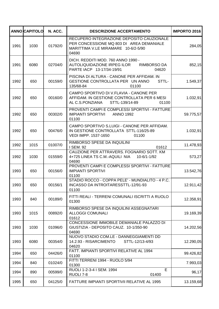|      | <b>ANNO CAPITOLO</b> | N. ACC. | <b>DESCRIZIONE ACCERTAMENTO</b>                                                                                                       | <b>IMPORTO 2016</b> |
|------|----------------------|---------|---------------------------------------------------------------------------------------------------------------------------------------|---------------------|
| 1991 | 1030                 | 01792/0 | RECUPERO INTEGRAZIONE DEPOSITO CAUZIONALE<br>PER CONCESSIONE MQ 803 DI AREA DEMANIALE<br>MARITTIMA V.LE MIRAMARE 10-6/2-5/90<br>04690 | 284,05              |
| 1991 | 6080                 | 02704/0 | DICH. REDDITI MOD. 760 ANNO 1990 -<br>AUTOLIQUIDAZIONE IRPEG ILOR<br><b>RIMBORSO DA</b><br>PARTE IACP 13-17/34-19/91<br>04620         | 852,15              |
| 1992 | 650                  | 00159/0 | PISCINA DI ALTURA - CANONE PER AFFIDAM. IN<br>GESTIONE CONTROLLATA PER UN ANNO<br>STTL-<br>135/68-84<br>01100                         | 1.549,37            |
| 1992 | 650                  | 00160/0 | CAMPO SPORTIVO DI V.FLAVIA - CANONE PER<br>AFFIDAM. IN GESTIONE CONTROLLATA PER 6 MESI<br>AL C.S.PONZIANA<br>STTL-139/14-89<br>01100  | 1.032,91            |
| 1992 | 650                  | 00302/0 | PROVENTI CAMPI E COMPLESSI SPORTIVI - FATTURE<br><b>IMPIANTI SPORTIVI</b><br><b>ANNO 1992</b><br>01100                                | 59.775,57           |
| 1992 | 650                  | 00476/0 | CAMPO SPORTIVO S.LUIGI - CANONE PER AFFIDAM.<br>IN GESTIONE CONTROLLATA STTL-116/25-89<br>VEDI IMPP. 1537-1650<br>01100               | 1.032,91            |
| 1992 | 1015                 | 01007/0 | RIMBORSO SPESE DA INQUILINI<br>I SEM. 92<br>01612                                                                                     | 11.478,93           |
| 1992 | 1030                 | 01559/0 | CAUZIONE PER ATTRAVERS. FOGNARIO SOTT. KM<br>4+725 LINEA TS C.M.-AQUILI NIA<br>10-6/1-1/92<br>04690                                   | 573,27              |
| 1993 | 650                  | 00156/0 | PROVENTI CAMPI E COMPLESSI SPORTIVI - FATTURE<br><b>IMPIANTI SPORTIVI</b><br>01100                                                    | 13.542,76           |
| 1993 | 650                  | 00156/1 | STADIO ROCCO - COPPA PELE' - MUNDIALITO - 4 P.C.<br>INCASSO DA INTROITARESSTTL-12/91-93<br>01100                                      | 12.911,42           |
| 1993 | 840                  | 00189/0 | FITTI REALI - TERRENI COMUNALI ISCRITTI A RUOLO<br>01300                                                                              | 12.358,91           |
| 1993 | 1015                 | 00892/0 | RIMBORSO SPESE DA INQUILINI ASSEGNATARI<br><b>ALLOGGI COMUNALI</b><br>01612                                                           | 19.169,39           |
| 1993 | 1030                 | 01096/0 | CONCESSIONE IMMOBILE DEMANIALE PALAZZO DI<br>GIUSTIZIA - DEPOSITO CAUZ. 10-1/350-90<br>04690                                          | 14.202,56           |
| 1993 | 6080                 | 00354/0 | NUOVO STADIO COM.LE - DANNEGGIAMENTI DD<br>14.2.93 - RISARCIMENTO<br>STTL-12/13-4/93<br>04620                                         | 12.290,05           |
| 1994 | 650                  | 04426/0 | FATT. IMPIANTI SPORTIVI RELATIVE AL 1994<br>01100                                                                                     | 99.426,82           |
| 1994 | 840                  | 01024/0 | FITTI TERRENI 1994 - RUOLO 5/94<br>01300                                                                                              | 7.993,03            |
| 1994 | 890                  | 00599/0 | E<br>RUOLI 1-2-3-4 I SEM. 1994<br>01400<br>RUOLI 7-8                                                                                  | 96,17               |
| 1995 | 650                  | 04125/0 | FATTURE IMPIANTI SPORTIVII RELATIVE AL 1995                                                                                           | 13.159,68           |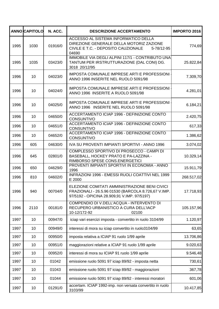|      | <b>ANNO CAPITOLO</b> | N. ACC. | <b>DESCRIZIONE ACCERTAMENTO</b>                                                                                                                     | <b>IMPORTO 2016</b> |
|------|----------------------|---------|-----------------------------------------------------------------------------------------------------------------------------------------------------|---------------------|
| 1995 | 1030                 | 01916/0 | ACCESSO AL SISTEMA INFORMATICO DELLA<br>DIREZIONE GENERALE DELLA MOTORIZ ZAZIONE<br>CIVILE E T.C. - DEPOSITO CAUZIONALE<br>5-78/12-95<br>04690      | 774,69              |
| 1995 | 1035                 | 03423/0 | IMMOBILE VIA DEGLI ALPINI 117/1 - CONTRIBUTO UNA<br>TANTUM PER IRSTRUTTURAZIONE (DAL CONI) DG.<br>3018 20/12/95                                     | 25.822,84           |
| 1996 | 10                   | 04023/0 | IMPOSTA COMUNALE IMPRESE ARTI E PROFESSIONI<br>ANNO 1996 INSERITE NEL RUOLO 5091/98                                                                 | 7.309,70            |
| 1996 | 10                   | 04024/0 | IMPOSTA COMUNALE IMPRESE ARTI E PROFESSIONI<br>ANNO 1996 INSERITE A RUOLO 5091/98                                                                   | 4.281,01            |
| 1996 | 10                   | 04025/0 | <b>IMPOSTA COMUNALE IMPRESE ARTI E PROFESSIONI</b><br>ANNO 1996 INSERITE NEL RUOLO 5091/98                                                          | 6.184,21            |
| 1996 | 10                   | 04650/0 | ACCERTAMENTO ICIAP 1996 - DEFINIZIONE CONTO<br><b>CONSUNTIVO</b>                                                                                    | 2.420,75            |
| 1996 | 10                   | 04651/0 | ACCERTAMENTO ICIAP 1996 - DEFINIZIONE CONTO<br><b>CONSUNTIVO</b>                                                                                    | 617,33              |
| 1996 | 10                   | 04652/0 | ACCERTAMENTO ICIAP 1996 - DEFINIZIONE CONTO<br><b>CONSUNTIVO</b>                                                                                    | 1.386,62            |
| 1996 | 605                  | 04630/0 | IVA SU PROVENTI IMPIANTI SPORTIVI - ANNO 1996                                                                                                       | 3.074,02            |
| 1996 | 645                  | 02801/0 | COMPLESSO SPORTIVO DI PROSECCO - CAMPI DI<br>BASEBALL, HOCKEY PRATO E PA-LAZZINA -<br>RIMBORSO SPESE CONS.ENERGETICI                                | 10.329,14           |
| 1996 | 650                  | 04629/0 | PROVENTI IMPIANTI SPORTIVI IN ECONOMIA - ANNO<br>1996                                                                                               | 15.911,79           |
| 1996 | 810                  | 04602/0 | INFRAZIONI 1996 - EMESSI RUOLI COATTIVI NEL 1999<br>E 2000                                                                                          | 268.517,02          |
| 1996 | 940                  | 00704/0 | ELEZIONE COMITATI AMMINISTRAZIONE BENI CIVICI<br>FRAZIONALI - 26.5.96 01530 (BARCOLA 8.726,67 V.IMP.<br>97/5192 - OPICINA 28.909,91 V.IMP. 97/5197) | 17.718,93           |
| 1996 | 2110                 | 00181/0 | COMPENDIO DI V.DELL'ACQUA - INTERVENTO DI<br>RECUPERO URBANISTICO A CURA DELL'IACP<br>10-12/172-92<br>02100                                         | 105.157,96          |
| 1997 | 10                   | 00947/0 | iciap vari esercizi imposta - convertito in ruolo 3104/99                                                                                           | 1.120,97            |
| 1997 | 10                   | 00949/0 | interessi di mora su iciap convertito in ruolo3104/99                                                                                               | 63,65               |
| 1997 | 10                   | 00950/0 | imposta relativa a ICIAP 91 ruolo 1/99 aprile                                                                                                       | 13.706,86           |
| 1997 | 10                   | 00951/0 | maggiorazioni relative a ICIAP 91 ruolo 1/99 aprile                                                                                                 | 9.020,63            |
| 1997 | 10                   | 00952/0 | interessi di mora su ICIAP 91 ruolo 1/99 aprile                                                                                                     | 9.546,48            |
| 1997 | 10                   | 01042   | emissione ruolo 5091 97 iciap 89/92 - imposta netta                                                                                                 | 730,61              |
| 1997 | 10                   | 01043   | emissione ruolo 5091 97 iciap 89/92 - maggiorazioni                                                                                                 | 367,78              |
| 1997 | 10                   | 01044   | emissione ruolo 5091 97 iciap 89/92 - interessi moratori                                                                                            | 601,06              |
| 1997 | 10                   | 01291/0 | accertam. ICIAP 1992-imp. non versata convertito in ruolo<br>3103/99                                                                                | 10.417,85           |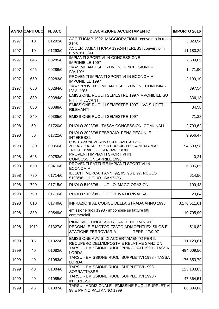|      | <b>ANNOCAPITOLO</b> | N. ACC. | <b>DESCRIZIONE ACCERTAMENTO</b>                                                                                               | <b>IMPORTO 2016</b> |
|------|---------------------|---------|-------------------------------------------------------------------------------------------------------------------------------|---------------------|
| 1997 | 10                  | 01292/0 | ACC.TI ICIAP 1992- MAGGIORAZIONI convertito in ruolo<br>3103                                                                  | 3.023,94            |
| 1997 | 10                  | 01293/0 | ACCERTAMENTI ICIAP 1992-INTERESSI convertito in<br>ruolo 3103/99                                                              | 11.180,29           |
| 1997 | 645                 | 00285/0 | IMPIANTI SPORTIVI IN CONCESSIONE -<br><b>IMPONIBILE 1997</b>                                                                  | 7.689,05            |
| 1997 | 645                 | 00286/0 | *IVA* IMPIANTI SPORTIVI IN CONCESSIONE -<br><b>IVA 19%</b>                                                                    | 1.471,90            |
| 1997 | 650                 | 00283/0 | PROVENTI IMPIANTI SPORTIVI IN ECONOMIA<br><b>IMPONIBILE 1997</b>                                                              | 2.199,10            |
| 1997 | 650                 | 00284/0 | *IVA *PROVENTI IMPIANTI SPORTIVI IN ECONOMIA -<br>I.V.A. 19%                                                                  | 397,54              |
| 1997 | 830                 | 00384/0 | EMISSIONE RUOLI I SEMESTRE 1997-IMPONIBILE SU<br><b>FITTI RILEVANTI</b>                                                       | 336,13              |
| 1997 | 830                 | 00388/0 | EMISSIONE RUOLI I SEMESTRE 1997 - IVA SU FITTI<br><b>RILEVANTI</b>                                                            | 84,58               |
| 1997 | 840                 | 00385/0 | <b>EMISSIONE RUOLI I SEMESTRE 1997</b>                                                                                        | 71,38               |
| 1998 | 50                  | 01720/0 | RUOLO 2023/98 - TASSA CONCESSIONI COMUNALI                                                                                    | 2.793,62            |
| 1998 | 50                  | 01722/0 | RUOLO 2023/98 FEBBRAIO. PENA PECUN. E<br><b>INTERESSI.</b>                                                                    | 9.956,47            |
| 1998 | 280                 | 00856/0 | COSTITUZIONE ARCHIVIO GENERALE 3^ FASE -<br>APPROV.PROGETTO PER L'OCCUP. PER CONTR.FONDO<br>TRIESTE 1998 AFF.GEN.26/4-3/98-98 | 154.603,98          |
| 1998 | 645                 | 00753/0 | PROVENTI IMPIANTI SPORTIVI IN<br><b>CONCESSIONEAPRILE 1998</b>                                                                | 0,21                |
| 1998 | 650                 | 00410/0 | PROVENTI FATTURE IMPIANTI SPORTIVI IN<br><b>ECONOMIA</b>                                                                      | 6.305,85            |
| 1998 | 790                 | 01714/0 | ILLECITI MERCATI ANNI 92, 95, 96 E 97. RUOLO<br>5108/98 - LUGLIO - SANZIONI.                                                  | 614,56              |
| 1998 | 790                 | 01715/0 | RUOLO 5108/98 - LUGLIO. MAGGIORAZIONI.                                                                                        | 109,48              |
| 1998 | 790                 | 01716/0 | RUOLO 5108/98 - LUGLIO. IVA DI RIVALSA.                                                                                       | 20,64               |
| 1998 | 810                 | 01749/0 | INFRAZIONI AL CODICE DELLA STRADA ANNO 1998                                                                                   | 3.176.511,61        |
| 1998 | 830                 | 00549/0 | emissione ruoli 1998 - imponibile su fatture fitti<br>commerciali                                                             | 10.705,99           |
| 1998 | 1012                | 01327/0 | RINNOVO CONCESSIONE AREE DI TRANSITO<br>PEDONALE E MOTORIZZATO ADIACENTI EX SILOS E<br>STAZIONE FERROVIARIA<br>TERR. 17/9-97  | 516,82              |
| 1999 | 15                  | 01822/0 | EMISSIONE AVVISI DI ACCERTAMENTO PER IL<br>RECUPERO DELL'IMPOSTA E RELATIVE SANZIONI                                          | 111.129,61          |
| 1999 | 40                  | 01082/0 | TARSU - EMISSIONE RUOLI PRINCIPALI 1999 - TASSA<br><b>LORDA</b>                                                               | 494.609,56          |
| 1999 | 40                  | 01083/0 | TARSU - EMISSIONE RUOLI SUPPLETIVI 1998 - TASSA<br><b>LORDA</b>                                                               | 176.853,79          |
| 1999 | 40                  | 01084/0 | TARSU - EMISSIONE RUOLI SUPPLETIVI 1998 -<br><b>SOPRATTASSE</b>                                                               | 123.133,83          |
| 1999 | 40                  | 01085/0 | TARSU - EMISSIONE RUOLI SUPPLETIVI 1998 -<br><b>INTERESSI</b>                                                                 | 47.364,51           |
| 1999 | 45                  | 01087/0 | TARSU - ADDIZIONALE - EMISSINE RUOLI SUPPLETIVI<br>98 E PRINCIPALI ANNO 1999                                                  | 66.384,86           |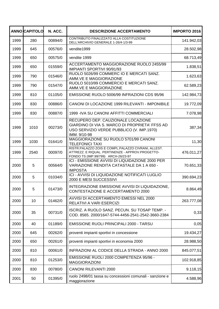|      | <b>ANNOCAPITOLO</b> | N. ACC. | <b>DESCRIZIONE ACCERTAMENTO</b>                                                                                                                   | <b>IMPORTO 2016</b> |
|------|---------------------|---------|---------------------------------------------------------------------------------------------------------------------------------------------------|---------------------|
| 1999 | 280                 | 00894/0 | CONTRIBUTO FINALIZZATO ALLA COSTITUZIONE<br>DELL'ARCHIVIO GENERALE 1-26/4-1/3-99                                                                  | 141.942,03          |
| 1999 | 645                 | 00576/0 | vendite1999                                                                                                                                       | 28.502,98           |
| 1999 | 650                 | 00575/0 | vendite 1999                                                                                                                                      | 68.713,49           |
| 1999 | 650                 | 01559/0 | ACCERTAMENTO MAGGIORAZIONE RUOLO 2455/99<br>IMPIANTI SPORTIVI 90/91/93                                                                            | 1.838,51            |
| 1999 | 790                 | 01546/0 | RUOLO 5026/99 COMMERC IO E MERCATI SANZ.<br>AMM.VE E MAGGIORAZIONE                                                                                | 1.623,63            |
| 1999 | 790                 | 01547/0 | RUOLO 5010/99 COMMERCIO E MERCATI SANZ.<br>AMM.VE E MAGGIORAZIONE                                                                                 | 62.589,23           |
| 1999 | 810                 | 01105/0 | EMISSIONE RUOLO 5006/99 INFRAZIONI CDS 95/96                                                                                                      | 142.984,73          |
| 1999 | 830                 | 00886/0 | CANONI DI LOCAZIONE 1999 RILEVANTI - IMPONIBILE                                                                                                   | 19.772,09           |
| 1999 | 830                 | 00887/0 | 1999 - IVA SU CANONI AFFITTI COMMERCIALI                                                                                                          | 7.078,98            |
| 1999 | 1010                | 00273/0 | RECUPERO DEP. CAUZIONALE LOCAZIONE<br>GIARDINO DI VIA S. MARCO DI PROPRIETA' FFSS AD<br>USO SERVIZIO VERDE PUBBLICO (V. IMP.1970)<br>IMM. 9/10-98 | 387,34              |
| 1999 | 1030                | 01641/0 | MAGGIORAZIONE SU RUOLO 5701/99 CANONI<br><b>TELEFONICI TAXI</b>                                                                                   | 11,30               |
| 1999 | 2540                | 00097/0 | RISTR.PALAZZO ZOIS E COMPL.PALAZZO CIVRANI, ALLEST.<br>ATTREZZ. E RIQUAL. PERTINENZE - APPROV.PROGETTO-<br>FONDO TS (IMP.99/799) ARCH-26/23-97    | 476.011,27          |
| 2000 | 5                   | 00564/0 | ICI - EMISSIONE AVVISI DI LIQUIDAZIONE 2000 PER<br>VARIAZIONE RENDITA CATASTALE DA 1 A 650 -<br><b>IMPOSTA</b>                                    | 70.651,33           |
| 2000 | 5                   | 01034/0 | ICI - AVVISI DI LIQUIDAZIONE NOTIFICATI LUGLIO<br>2000 E MESI SUCCESSIVI                                                                          | 390.694,23          |
| 2000 | 5                   | 01473/0 | INTEGRAZIONE EMISSIONE AVVISI DI LIQUIDAZIONE,<br>CONTESTAZIONE E ACCERTAMENTO 2000                                                               | 8.864,49            |
| 2000 | 10                  | 01462/0 | AVVISI DI ACCERTAMENTO EMESSI NEL 2000<br>RELATIVI A VARI ESERCIZI                                                                                | 263.777,08          |
| 2000 | 35                  | 00731/0 | ISCRIZ. A RUOLO SANZ. PECUN. SU TOSAP TEMP. -<br>COD. 8565. 2000/1647-5744-4456-2541-2542-3660-2384                                               | 0,33                |
| 2000 | 40                  | 01189/0 | EMISSIONE RUOLI PRINCIPALI 2000 - TARSU                                                                                                           | 0,05                |
| 2000 | 645                 | 00262/0 | proventi impianti sportivi in concessione                                                                                                         | 19.434,27           |
| 2000 | 650                 | 00261/0 | proventi impianti sportivi in economia 2000                                                                                                       | 28.988,50           |
| 2000 | 810                 | 00061/0 | INFRAZIONI AL CODICE DELLA STRADA - ANNO 2000                                                                                                     | 845.077,51          |
| 2000 | 810                 | 01253/0 | EMISSIONE RUOLI 2000 COMPETENZA 95/96 -<br><b>MAGGIORAZIONI</b>                                                                                   | 102.918,85          |
| 2000 | 830                 | 00780/0 | <b>CANONI RILEVANTI 2000</b>                                                                                                                      | 9.118,15            |
| 2001 | 50                  | 01395/0 | ruolo 2498/01 tassa su concessioni comunali - sanzione e<br>maggiorazione                                                                         | 4.588,96            |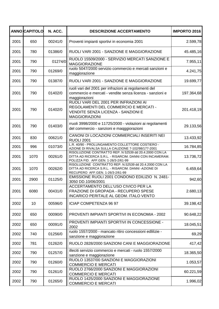|      | <b>ANNO CAPITOLO</b> | N. ACC. | <b>DESCRIZIONE ACCERTAMENTO</b>                                                                                                                            | <b>IMPORTO 2016</b> |
|------|----------------------|---------|------------------------------------------------------------------------------------------------------------------------------------------------------------|---------------------|
| 2001 | 650                  | 00241/0 | Proventi impianti sportivi in economia 2001                                                                                                                | 2.599,78            |
| 2001 | 780                  | 01386/0 | RUOLI VARI 2001 - SANZIONE E MAGGIORAZIONE                                                                                                                 | 45.485,16           |
| 2001 | 790                  | 01274/0 | RUOLO 15509/2000 - SERVIZIO MERCATI SANZIONE E<br><b>MAGGIORAZIONE</b>                                                                                     | 7.955,11            |
| 2001 | 790                  | 01269/0 | ruolo 5047/2000 servizio commercio e mercati sanzioni e<br>maggiorazione                                                                                   | 4.241,75            |
| 2001 | 790                  | 01387/0 | RUOLI VARI 2001 - SANZIONE E MAGGIORAZIONE                                                                                                                 | 19.699,77           |
| 2001 | 790                  | 01402/0 | ruoli vari del 2001 per infrazioni ai regolamenti del<br>commercio e mercati - vendite senza licenza - sanzioni e<br>maggiorazioni                         | 197.364,68          |
| 2001 | 790                  | 01402/0 | RUOLI VARI DEL 2001 PER INFRAZIONI AI<br>REGOLAMENTI DEL COMMERCIO E MERCATI -<br>VENDITE SENZA LICENZA - SANZIONI E<br><b>MAGGIORAZIONI</b>               | 201.418,19          |
| 2001 | 790                  | 01403/0 | rruoli 3998/2000 e 11725/2000 - violazioni ai regolamenti<br>del commercio - sanzioni e magggiorazioni                                                     | 29.133,56           |
| 2001 | 830                  | 00621/0 | CANONI DI LOCAZIONI COMMERCIALI INSERITI NEI<br><b>RUOLI 2001</b>                                                                                          | 13.433,92           |
| 2001 | 996                  | 01073/0 | L.R. 40/90 - PROLUNGAMENTO COLLETTORE COSTIERO -<br>AZIONE DI RIVALSA SULLA CAUZIONE 7-102/98/177-2001                                                     | 16.784,85           |
| 2001 | 1070                 | 00261/0 | RISOLUZIONE CONTRATTO REP. N 52539 dd 20.4.2000 CON LA<br>DITTA AD RICERCA S.R.L. - RISARCIM. DANNI CON INCAMERAM.<br>POLIZZA FID. AFF.GEN. 1-26/3-2/61-99 | 13.736,72           |
| 2001 | 1070                 | 00262/0 | RISOLUZIONE CONTRATTO REP. N.52539 dd 20.4.2000 CON LA<br>DITTA AD RICERCA S.R.L. - RISARCIM. DANNI -AZIONE DI<br>RECUPERO AFF.GEN. 1-26/3-2/61-99         | 6.459,64            |
| 2001 | 2900                 | 01125/0 | EMISSIONE RUOLI 2001 CONDONO EDILIZIO N. 2481-<br>3050 DD.10/06/2001                                                                                       | 942,60              |
| 2001 | 6080                 | 00431/0 | ACCERTAMENTO DELL'USO CIVICO PER LA<br><b>FRAZIONE DI GROPADA - RECUPERO SPESE</b><br><b>INCARICO PERITALE AL GEOM. ITALO VENTO</b>                        | 2.680,13            |
| 2002 | 10                   | 00596/0 | ICIAP COMPETENZA 96 97                                                                                                                                     | 39.198,42           |
| 2002 | 650                  | 00090/0 | PROVENTI IMPIANTI SPORTIVI IN ECONOMIA - 2002                                                                                                              | 90.648,22           |
| 2002 | 650                  | 00091/0 | PROVENTI IMPIANTI SPORTIVI IN CONCESSIONE -<br>2002                                                                                                        | 18.045,51           |
| 2002 | 740                  | 01256/0 | ruolo 1557/2000 - mancato ritiro concessioni edlilizie -<br>sanzione e maggiorazione                                                                       | 69,29               |
| 2002 | 781                  | 01262/0 | RUOLO 2828/2000 SANZIONI CANI E MAGGIORAZIONE                                                                                                              | 417,42              |
| 2002 | 790                  | 01257/0 | illeciti servizio commercio e mercati - ruolo 1557/2000<br>sanzione e maggiorazione                                                                        | 18.365,50           |
| 2002 | 790                  | 01260/0 | RUOLO 13537/00 SANZIONI E MAGGIORAZIONI<br><b>COMMERCIO E MERCATI</b>                                                                                      | 1.053,57            |
| 2002 | 790                  | 01261/0 | RUOLO 2766/2000 SANZIONI E MAGGIORAZIONI<br><b>COMMERCIO E MERCATI</b>                                                                                     | 60.221,59           |
| 2002 | 790                  | 01265/0 | RUOLO 1425/2000 SANZIONI E MAGGIORAZIONE<br><b>COMMERCIO E MERCATI</b>                                                                                     | 1.996,02            |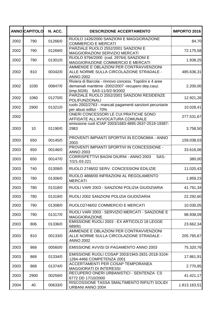|      | <b>ANNO CAPITOLO</b> | N. ACC. | <b>DESCRIZIONE ACCERTAMENTO</b>                                                                                                               | <b>IMPORTO 2016</b> |
|------|----------------------|---------|-----------------------------------------------------------------------------------------------------------------------------------------------|---------------------|
| 2002 | 790                  | 01266/0 | RUOLO 1426/2000 SANZIONI E MAGGIORAZIONE<br><b>COMMERCIO E MERCATI</b>                                                                        | 84,70               |
| 2002 | 790                  | 01269/0 | PARZIALE RUOLO 2552/2001 SANZIONI E<br>MAGGIORAZIONI SERVIZIO MERCATI                                                                         | 72.175,58           |
| 2002 | 790                  | 01301/0 | RUOLO 9794/2000 (cod. 29764) SANZIONI E<br>MAGGIORAZIONE COMMERCIO E MERCATI                                                                  | 1.938,25            |
| 2002 | 810                  | 00342/0 | AMMENDE E OBLAZIONI PER CONTRAVVENZIONI<br>ALLE NORME SULLA CIRCOLAZIONE STRADALE -<br><b>ANNO 2002</b>                                       | 485.636,31          |
| 2002 | 1030                 | 00847/0 | Riviera di Barcola - rinnovo concess. Topolini e 4 aree<br>demaniali marittime -2002/2007 -recupero dep.cauz.<br>(imp.5026) SAS-11/3/2-9/2002 | 2.200,00            |
| 2002 | 1060                 | 01270/0 | PARZIALE RUOLO 2552/2001 SANZIONI RESIDENZE<br>POLIFUNZIONALI                                                                                 | 12.921,26           |
| 2002 | 2900                 | 01321/0 | ruolo 2002/2763 - mancati pagamenti sanzioni pecuniarie<br>per abusi edilizi - 70%                                                            | 10.028,41           |
| 2002 |                      |         | ONERI CONCESSORI LE CUI PRATICHE SONO<br>AFFIDATE ALL'AVVOCATURA COMUNALE                                                                     | 277.531,67          |
| 2003 | 10                   | 01190/0 | emissione ruoli ICIAP 2003/1683-4895-2637-2519-19387-<br>2983                                                                                 | 3.758,50            |
| 2003 | 650                  | 00145/0 | PROVENTI IMPIANTI SPORTIVI IN ECONOMIA - ANNO<br>2003                                                                                         | 159.038,03          |
| 2003 | 650                  | 00146/0 | PROVENTI IMPIANTI SPORTIVI IN CONCESSIONE -<br><b>ANNO 2003</b>                                                                               | 33.616,06           |
| 2003 | 650                  | 00147/0 | CORRISPETTIVI BAGNI DIURNI - ANNO 2003<br>SAS-<br>7/2/1-03-221                                                                                | 380,00              |
| 2003 | 740                  | 01309/0 | RUOLO 2748/02 SERV. CONCESSIONI EDILIZIE                                                                                                      | 11.020,43           |
| 2003 | 780                  | 01306/0 | RUOLO 4868/00 INFRAZIONI AL REGOLAMENTO<br><b>MERCATI</b>                                                                                     | 1.859,23            |
| 2003 | 780                  | 01318/0 | RUOLI VARI 2003 - SANZIONI POLIZIA GIUDIZIARIA                                                                                                | 41.791,34           |
| 2003 | 780                  | 01319/0 | RUOLI 2002 SANZIONI POLIZIA GIUDIZIARIA                                                                                                       | 22.292,60           |
| 2003 | 790                  | 01308/0 | RUOLO2748/02 COMMERCIO E MERCATI                                                                                                              | 10.030,05           |
| 2003 | 790                  | 01317/0 | RUOLI VARI 2003 - SERVIZIO MERCATI - SANZIONE E<br><b>MAGGIORAZIONE</b>                                                                       | 98.938,09           |
| 2003 | 806                  | 01336/0 | EMISSIONE RUOLI 2003 - EX ARTICOLO 18 LEGGE<br>689/81                                                                                         | 23.662,34           |
| 2003 | 810                  | 00133/0 | AMMENDE E OBLAZIONI PER CONTRAVVENZIONI<br>ALLE NORME SULLA CIRCOLAZIONE STRADALE -<br><b>ANNO 2002</b>                                       | 205.765,67          |
| 2003 | 868                  | 00560/0 | EMISSIONE AVVISI DI PAGAMENTO ANNO 2003                                                                                                       | 75.320,76           |
| 2003 | 868                  | 01334/0 | EMISSIONE RUOLI COSAP 2003/1943-2831-2018-3104-<br>1284-4466 COMPETENZA 2001                                                                  | 17.861,91           |
| 2003 | 868                  | 01374/0 | ACCERTAMENTI PER COSAP TEMPORANEA<br><b>MAGGIORATI DI INTERESSI</b>                                                                           | 2.770,85            |
| 2003 | 2900                 | 00259/0 | RECUPERO ONERI URBANISTICI - SENTENZA CS<br>6772 DD 17/10/2000                                                                                | 41.421,17           |
| 2004 | 40                   | 00633/0 | RISCOSSIONE TASSA SMALTIMENTO RIFIUTI SOLIDI<br>URBANI ANNO 2004                                                                              | 1.813.163,51        |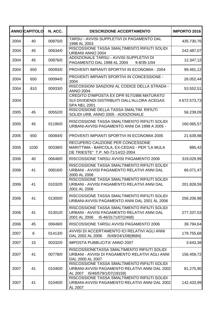|      | <b>ANNO CAPITOLO</b> | N. ACC. | <b>DESCRIZIONE ACCERTAMENTO</b>                                                                                                    | <b>IMPORTO 2016</b> |
|------|----------------------|---------|------------------------------------------------------------------------------------------------------------------------------------|---------------------|
| 2004 | 40                   | 00875/0 | TARSU - AVVISI SUPPLETIVI DI PAGAMENTO DAL<br>1998 AL 2003                                                                         | 435.730,76          |
| 2004 | 45                   | 00634/0 | RISCOSSIONE TASSA SMALTIMENTO RIFIUTI SOLIDI<br>URBANI ANNO 2004                                                                   | 242.487,07          |
| 2004 | 45                   | 00876/0 | ADDIZIONALE TARSU - AVVISI SUPPLETIVI DI<br>PAGAMENTO DAL 1998 AL 2004<br>$9 - 8/35 - 1/04$                                        | 12.347,12           |
| 2004 | 650                  | 00093/0 | PROVENTI IMPIANTI SPORTIVI IN ECONOMIA - 2004                                                                                      | 99.491,12           |
| 2004 | 650                  | 00094/0 | PROVENTI IMPIANTI SPORTIVI IN CONCESSIONE -<br>2004                                                                                | 26.052,44           |
| 2004 | 810                  | 00933/0 | RISCOSSIONI SANZIONI AL CODICE DELLA STRADA -<br>ANNO 2004.                                                                        | 53.552,51           |
| 2004 |                      |         | CREDITO D'IMPOSTA EX DPR 917/1986 MATURATO<br>SUI DIVIDENDI DISTRIBUITI DALL'ALLORA ACEGAS<br><b>SPA NEL 2001</b>                  | 4.672.573,73        |
| 2005 | 45                   | 00552/0 | RISCOSSIONE DELLA TASSA SMALTIM. RIFIUTI<br>SOLIDI URB. ANNO 2005 - ADDIZIONALE                                                    | 56.239,09           |
| 2005 | 45                   | 01195/0 | RISCOSSIONE TASSA SMALTIMENTO RIFIUTI SOLIDI<br>URBANI-AVVISI PAGAMENTO ANNI DA 1998 A 2005 -                                      | 160.065,57          |
| 2005 | 650                  | 00084/0 | PROVENTI IMPIANTI SPORTIVI IN ECONOMIA 2005                                                                                        | 21.639,98           |
| 2005 | 1030                 | 00338/0 | RECUPERO CAUZIONE PER CONCESSONE<br>MARITTIMA - BARCOLA, EX-CEDAS - PER "LA MULA<br>DE TRIESTE" T.P. N0-71/14/22-2004              | 885,42              |
| 2006 | 40                   | 00648/0 | RISCOSSIONE TARSU AVVISI PAGAMENTO 2006                                                                                            | 319.029,99          |
| 2006 | 41                   | 00816/0 | RISCOSSIONE TASSA SMALTIMENTO RIFIUTI SOLIDI<br>URBANI - AVVISI PAGAMENTO RELATIVI ANNI DAL<br>2000 AL 2006                        | 66.071,47           |
| 2006 | 41                   | 01032/0 | RISCOSSIONE TASSA SMALTIMENTO RIFIUTI SOLIDI<br>URBANI - AVVISI PAGAMENTO RELATIVI ANNI DAL<br>2001 AL 2006                        | 201.828,59          |
| 2006 | 41                   | 01300/0 | RISCOSSIONE TASSA SMALTIMENTO RIFIUTI SOLIDI<br>URBANI-AVVISI PAGAMENTO ANNI DAL 2001 AL 2006                                      | 256.206,98          |
| 2006 | 41                   | 01301/0 | RISCOSSIONE TASSA SMALTIMENTO RIFIUTI SOLIDI<br>URBANI - AVVISI PAGAMENTO RELATIVI ANNI DAL<br>2001 AL 2006<br>I5-46/3171/07(2468) | 277.207,53          |
| 2006 | 45                   | 00649/0 | RISCOSSIONE TARSU AVVISI PAGAMENTO 2006                                                                                            | 39.794,64           |
| 2007 | 6                    | 01413/0 | AVVISI DI ACCERTAMENTO ICI RELATIVI AGLI ANNI<br>DAL 2002 AL 2006<br>I5/49/24/1/08(9684)                                           | 179.755,68          |
| 2007 | 15                   | 00332/0 | <b>IMPOSTA PUBBLICITA' ANNO 2007</b>                                                                                               | 3.643,38            |
| 2007 | 41                   | 00778/0 | RISCOSSIONETASSA SMALTIMENTO RIFIUTI SOLIDI<br>URBANI - AVVISI DI PAGAMENTO RELATIVI AGLI ANNI<br>DAL 2000 AL 2007                 | 156.459,72          |
| 2007 | 41                   | 01040/0 | RISCOSSIONE TASSA SMALTIMENTO RIFIUTI SOLIDI<br>URBANI-AVVISI PAGAMENTO RELATIVI ANNI DAL 2002<br>I5/46/579/1/07(19159)<br>AL 2007 | 81.275,90           |
| 2007 | 41                   | 01040/0 | RISCOSSIONE TASSA SMALTIMENTO RIFIUTI SOLIDI<br>URBANI-AVVISI PAGAMENTO RELATIVI ANNI DAL 2002<br>AL 2007                          | 142.433,99          |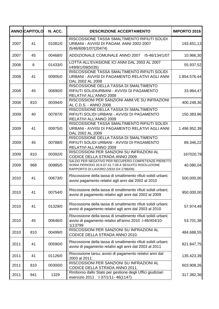|      | <b>ANNO CAPITOLO</b> | N. ACC. | <b>DESCRIZIONE ACCERTAMENTO</b>                                                                                                                    | <b>IMPORTO 2016</b> |
|------|----------------------|---------|----------------------------------------------------------------------------------------------------------------------------------------------------|---------------------|
| 2007 | 41                   | 01081/0 | RISCOSSIONE TASSA SMALTIMENTO RIFIUTI SOLIDI<br>URBANI - AVVISI DI PAGAM. ANNI 2002-2007<br>15/46/608/1/07(20474)                                  | 193.651,13          |
| 2007 | 45                   | 00468/0 | ADDIZIONALE COMUNALE ANNO 2007<br>I5-46/134/1/07                                                                                                   | 10.966,30           |
| 2008 | 6                    | 01433/0 | LOTTA ALL'EVASIONE ICI ANNI DAL 2003 AL 2007<br>I/49/8/1/09(5035)                                                                                  | 55.937,52           |
| 2008 | 41                   | 00905/0 | RISCOSSIONE TASSA SMALTIMENTO RIFIUTI SOLIDI<br>URBANI - AVVISI DI PAGAMENTO RELATIVI AGLI ANNI<br>DAL 2002 AL 2008                                | 1.854.576,44        |
| 2008 | 45                   | 00690/0 | RISCOSSIONE DELLA TASSA DI SMALTIMENTO<br>RIFIUTI SOLIDIURBANI - AVVISI DI PAGAMENTO<br>RELATIVI ALL'ANNO 2008                                     | 33.964,47           |
| 2008 | 810                  | 00394/0 | RISCOSSIONI PER SANZIONI AMM. VE SU INFRAZIONI<br>AL C.D.S. - ANNO 2008.                                                                           | 400.248,36          |
| 2009 | 40                   | 00787/0 | RISCOSSIONE DELLA TASSA DI SMALTIMENTO<br>RIFIUTI SOLIDI URBANI - AVVISI DI PAGAMENTO<br>RELATIVI ALL'ANNO 2009                                    | 150.383,96          |
| 2009 | 41                   | 00975/0 | RISCOSSIONE TASSA SMALTIMENTO RIFIUTI SOLIDI<br>URBANI - AVVISI DI PAGAMENTO RELATIVI AGLI ANNI<br>DAL 2002 AL 2009                                | 1.496.952,39        |
| 2009 | 45                   | 00788/0 | RISCOSSIONE DELLA TASSA DI SMALTIMENTO<br>RIFIUTI SOLIDI URBANI - AVVISI DI PAGAMENTO<br>RELATIVI ALL'ANNO 2009                                    | 89.346,22           |
| 2009 | 810                  | 00392/0 | RISCOSSIONI PER SANZIONI SU INFRAZIONI AL<br>CODICE DELLA STRADA ANNO 2009.                                                                        | 167020,78           |
| 2009 | 968                  | 00985/0 | SALDO PER NEGATIVO PER RECUPERO COMPETENZE PIERETTI<br>SONIA PERIODO 20.9.07-31.7.09 A SEGUITO RISOLUZIONE<br>RAPPORTO DI LAVORO (VEDI DX 2786/09) | 40.080,04           |
| 2010 | 41                   | 00673/0 | Riscossione della tassa di smaltimento rifiuti solidi urbani;<br>avvisi pagamento relativi agli anni dal 2002 al 2010                              | 500.000,00          |
| 2010 | 41                   | 00754/0 | Riscossione della tassa di smaltimento rifiuti solidi urbani;<br>avvisi di pagamento relativi agli anni dal 2002 al 2009                           | 950.000,00          |
| 2010 | 41                   | 01329/0 | Riscossione della tassa di smaltimento rifiuti solidi urbani;<br>avvisi di pagamento relativi agli anni dal 2003 al 2010                           | 57.974,49           |
| 2010 | 45                   | 00646/0 | Riscossione della tassa di smaltimento rifiuti solidi urbani;<br>avvisi di pagamento relativi all'anno 2010 .I-46/404/10-<br>1(13799               | 53.701,38           |
| 2010 | 810                  | 00499/0 | RISCOSSIONI PER SANZIONI SU INFRAZIONI AL<br>CODICE DELLA STRADA ANNO 2010.                                                                        | 484.688,55          |
| 2011 | 41                   | 00590/0 | Riscossione della tassa di smaltimento rifiuti solidi urbani;<br>avvisi di pagamento relativi agli anni dal 2003 al 2011                           | 821.847,75          |
| 2011 | 41                   | 01126/0 | Riscossione tarsu; avvisi di pagamento relativi anni dal<br>2003 al 2011.                                                                          | 135.423,39          |
| 2011 | 810                  | 00300/0 | RISCOSSIONI PER SANZIONI SU INFRAZIONI AL<br>CODICE DELLA STRADA ANNO 2011.                                                                        | 603.908,26          |
| 2011 | 941                  | 1329    | Rimborso dallo Stato per gestione degli Uffici giudiziari<br>esercizio 2011<br>I-37/1/11-46(1147)                                                  | 317.382,36          |